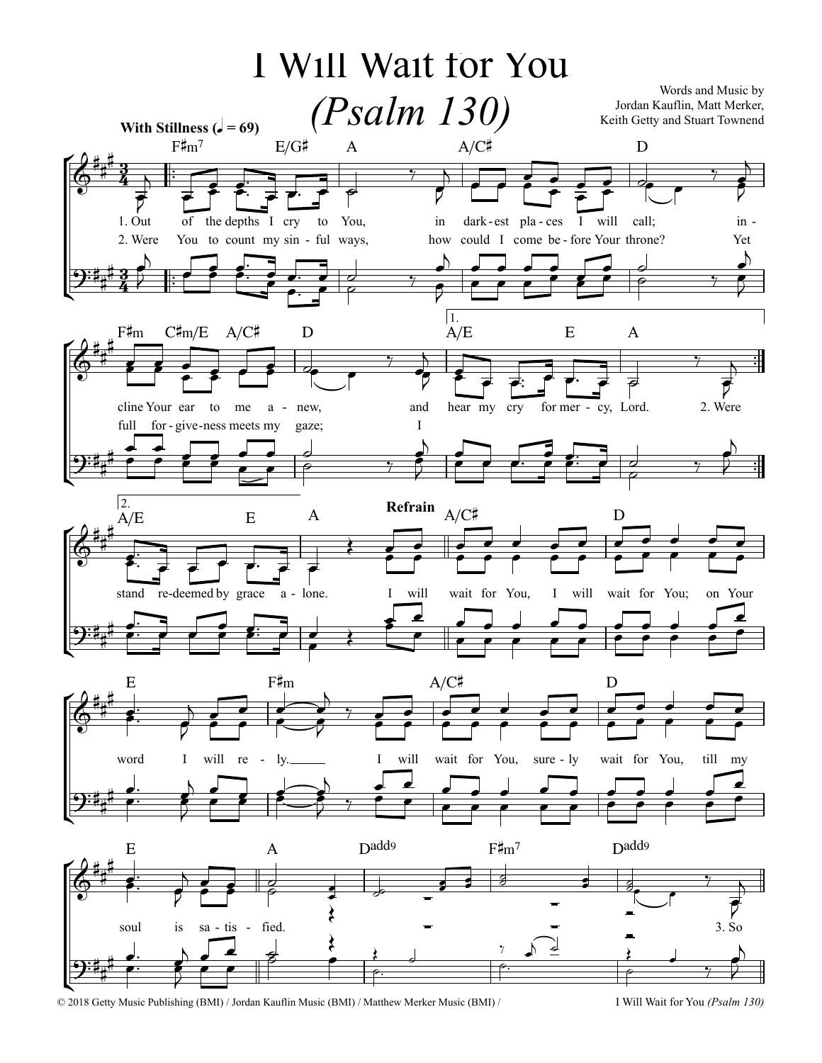## I Will Wait for You



© 2018 Getty Music Publishing (BMI) / Jordan Kauflin Music (BMI) / Matthew Merker Music (BMI) /

I Will Wait for You (Psalm 130)